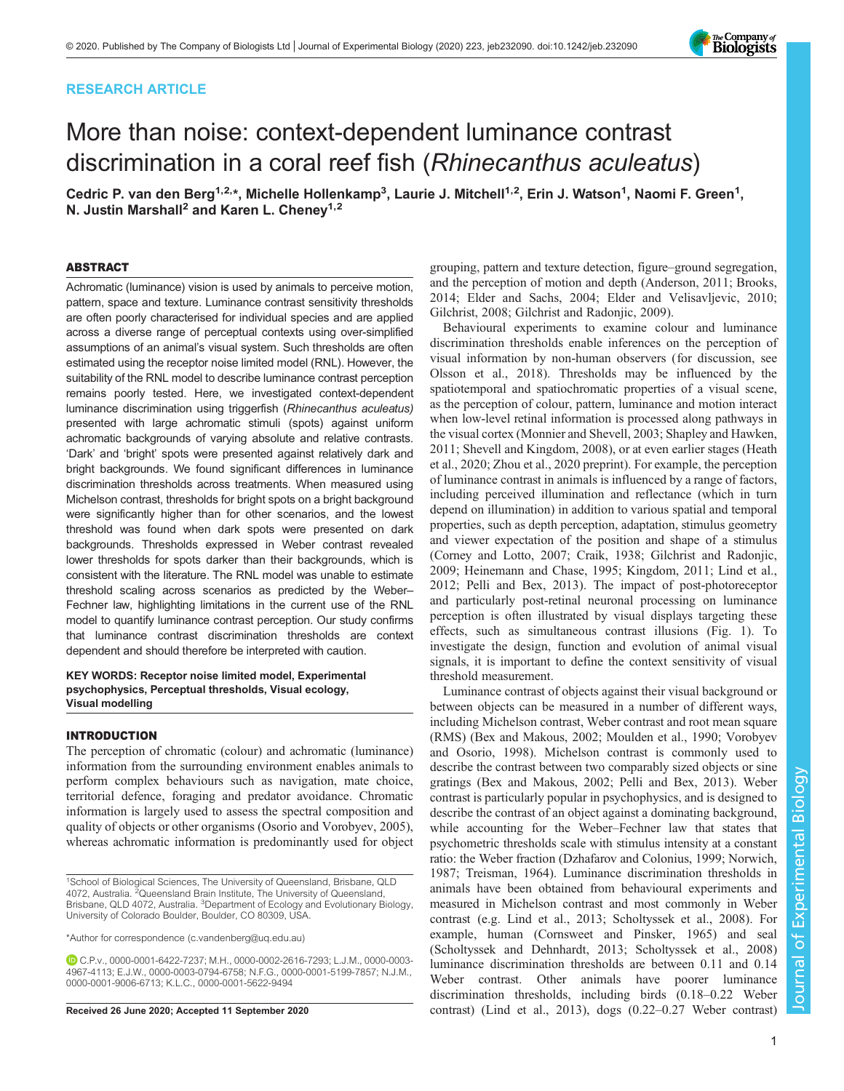## RESEARCH ARTICLE

# More than noise: context-dependent luminance contrast discrimination in a coral reef fish (Rhinecanthus aculeatus)

Cedric P. van den Berg<sup>1,2,</sup>\*, Michelle Hollenkamp<sup>3</sup>, Laurie J. Mitchell<sup>1,2</sup>, Erin J. Watson<sup>1</sup>, Naomi F. Green<sup>1</sup>, N. Justin Marshall<sup>2</sup> and Karen L. Cheney<sup>1,2</sup>

## ABSTRACT

Achromatic (luminance) vision is used by animals to perceive motion, pattern, space and texture. Luminance contrast sensitivity thresholds are often poorly characterised for individual species and are applied across a diverse range of perceptual contexts using over-simplified assumptions of an animal's visual system. Such thresholds are often estimated using the receptor noise limited model (RNL). However, the suitability of the RNL model to describe luminance contrast perception remains poorly tested. Here, we investigated context-dependent luminance discrimination using triggerfish (Rhinecanthus aculeatus) presented with large achromatic stimuli (spots) against uniform achromatic backgrounds of varying absolute and relative contrasts. 'Dark' and 'bright' spots were presented against relatively dark and bright backgrounds. We found significant differences in luminance discrimination thresholds across treatments. When measured using Michelson contrast, thresholds for bright spots on a bright background were significantly higher than for other scenarios, and the lowest threshold was found when dark spots were presented on dark backgrounds. Thresholds expressed in Weber contrast revealed lower thresholds for spots darker than their backgrounds, which is consistent with the literature. The RNL model was unable to estimate threshold scaling across scenarios as predicted by the Weber– Fechner law, highlighting limitations in the current use of the RNL model to quantify luminance contrast perception. Our study confirms that luminance contrast discrimination thresholds are context dependent and should therefore be interpreted with caution.

## KEY WORDS: Receptor noise limited model, Experimental psychophysics, Perceptual thresholds, Visual ecology, Visual modelling

## INTRODUCTION

The perception of chromatic (colour) and achromatic (luminance) information from the surrounding environment enables animals to perform complex behaviours such as navigation, mate choice, territorial defence, foraging and predator avoidance. Chromatic information is largely used to assess the spectral composition and quality of objects or other organisms [\(Osorio and Vorobyev, 2005\)](#page-9-0), whereas achromatic information is predominantly used for object

grouping, pattern and texture detection, figure–ground segregation, and the perception of motion and depth [\(Anderson, 2011](#page-8-0); [Brooks,](#page-8-0) [2014; Elder and Sachs, 2004; Elder and Velisavljevic, 2010](#page-8-0); [Gilchrist, 2008; Gilchrist and Radonjic, 2009\)](#page-8-0).

Behavioural experiments to examine colour and luminance discrimination thresholds enable inferences on the perception of visual information by non-human observers (for discussion, see [Olsson et al., 2018](#page-9-0)). Thresholds may be influenced by the spatiotemporal and spatiochromatic properties of a visual scene, as the perception of colour, pattern, luminance and motion interact when low-level retinal information is processed along pathways in the visual cortex ([Monnier and Shevell, 2003; Shapley and Hawken,](#page-9-0) [2011; Shevell and Kingdom, 2008](#page-9-0)), or at even earlier stages ([Heath](#page-8-0) [et al., 2020](#page-8-0); [Zhou et al., 2020](#page-9-0) preprint). For example, the perception of luminance contrast in animals is influenced by a range of factors, including perceived illumination and reflectance (which in turn depend on illumination) in addition to various spatial and temporal properties, such as depth perception, adaptation, stimulus geometry and viewer expectation of the position and shape of a stimulus [\(Corney and Lotto, 2007](#page-8-0); [Craik, 1938](#page-8-0); [Gilchrist and Radonjic,](#page-8-0) [2009; Heinemann and Chase, 1995; Kingdom, 2011](#page-8-0); [Lind et al.,](#page-8-0) [2012;](#page-8-0) [Pelli and Bex, 2013](#page-9-0)). The impact of post-photoreceptor and particularly post-retinal neuronal processing on luminance perception is often illustrated by visual displays targeting these effects, such as simultaneous contrast illusions [\(Fig. 1\)](#page-1-0). To investigate the design, function and evolution of animal visual signals, it is important to define the context sensitivity of visual threshold measurement.

Luminance contrast of objects against their visual background or between objects can be measured in a number of different ways, including Michelson contrast, Weber contrast and root mean square (RMS) [\(Bex and Makous, 2002](#page-8-0); [Moulden et al., 1990; Vorobyev](#page-9-0) [and Osorio, 1998](#page-9-0)). Michelson contrast is commonly used to describe the contrast between two comparably sized objects or sine gratings [\(Bex and Makous, 2002;](#page-8-0) [Pelli and Bex, 2013\)](#page-9-0). Weber contrast is particularly popular in psychophysics, and is designed to describe the contrast of an object against a dominating background, while accounting for the Weber–Fechner law that states that psychometric thresholds scale with stimulus intensity at a constant ratio: the Weber fraction ([Dzhafarov and Colonius, 1999;](#page-8-0) [Norwich,](#page-9-0) [1987; Treisman, 1964\)](#page-9-0). Luminance discrimination thresholds in animals have been obtained from behavioural experiments and measured in Michelson contrast and most commonly in Weber contrast (e.g. [Lind et al., 2013](#page-8-0); [Scholtyssek et al., 2008\)](#page-9-0). For example, human ([Cornsweet and Pinsker, 1965](#page-8-0)) and seal [\(Scholtyssek and Dehnhardt, 2013; Scholtyssek et al., 2008\)](#page-9-0) luminance discrimination thresholds are between 0.11 and 0.14 Weber contrast. Other animals have poorer luminance discrimination thresholds, including birds (0.18–0.22 Weber Received 26 June 2020; Accepted 11 September 2020 contrast) [\(Lind et al., 2013\)](#page-8-0), dogs (0.22–0.27 Weber contrast)



<sup>1</sup>School of Biological Sciences, The University of Queensland, Brisbane, QLD 4072, Australia. <sup>2</sup>Queensland Brain Institute, The University of Queensland, Brisbane, QLD 4072, Australia. <sup>3</sup>Department of Ecology and Evolutionary Biology, University of Colorado Boulder, Boulder, CO 80309, USA.

<sup>\*</sup>Author for correspondence [\(c.vandenberg@uq.edu.au](mailto:c.vandenberg@uq.edu.au))

C.P.v., [0000-0001-6422-7237](http://orcid.org/0000-0001-6422-7237); M.H., [0000-0002-2616-7293;](http://orcid.org/0000-0002-2616-7293) L.J.M., [0000-0003-](http://orcid.org/0000-0003-4967-4113) [4967-4113](http://orcid.org/0000-0003-4967-4113); E.J.W., [0000-0003-0794-6758;](http://orcid.org/0000-0003-0794-6758) N.F.G., [0000-0001-5199-7857](http://orcid.org/0000-0001-5199-7857); N.J.M., [0000-0001-9006-6713;](http://orcid.org/0000-0001-9006-6713) K.L.C., [0000-0001-5622-9494](http://orcid.org/0000-0001-5622-9494)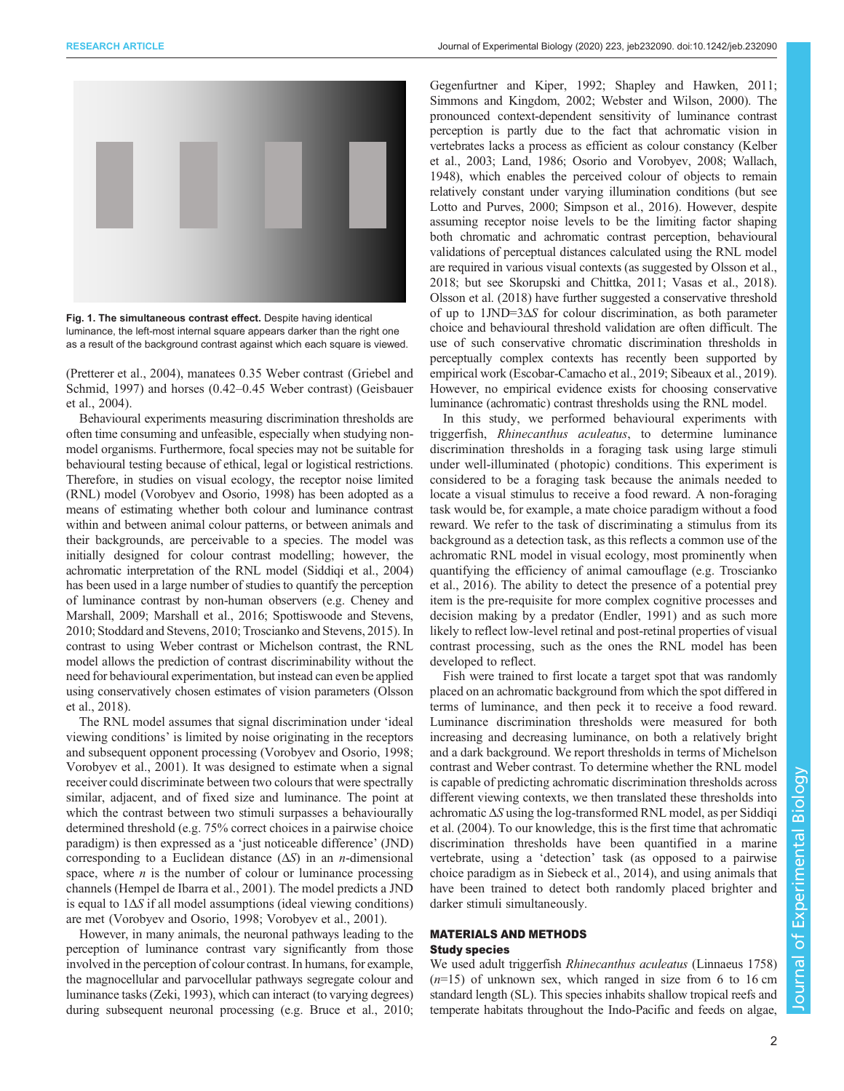<span id="page-1-0"></span>

Fig. 1. The simultaneous contrast effect. Despite having identical luminance, the left-most internal square appears darker than the right one as a result of the background contrast against which each square is viewed.

[\(Pretterer et al., 2004\)](#page-9-0), manatees 0.35 Weber contrast ([Griebel and](#page-8-0) [Schmid, 1997](#page-8-0)) and horses (0.42–0.45 Weber contrast) ([Geisbauer](#page-8-0) [et al., 2004\)](#page-8-0).

Behavioural experiments measuring discrimination thresholds are often time consuming and unfeasible, especially when studying nonmodel organisms. Furthermore, focal species may not be suitable for behavioural testing because of ethical, legal or logistical restrictions. Therefore, in studies on visual ecology, the receptor noise limited (RNL) model [\(Vorobyev and Osorio, 1998](#page-9-0)) has been adopted as a means of estimating whether both colour and luminance contrast within and between animal colour patterns, or between animals and their backgrounds, are perceivable to a species. The model was initially designed for colour contrast modelling; however, the achromatic interpretation of the RNL model ([Siddiqi et al., 2004\)](#page-9-0) has been used in a large number of studies to quantify the perception of luminance contrast by non-human observers (e.g. [Cheney and](#page-8-0) [Marshall, 2009](#page-8-0); [Marshall et al., 2016;](#page-8-0) [Spottiswoode and Stevens,](#page-9-0) [2010; Stoddard and Stevens, 2010](#page-9-0); [Troscianko and Stevens, 2015](#page-9-0)). In contrast to using Weber contrast or Michelson contrast, the RNL model allows the prediction of contrast discriminability without the need for behavioural experimentation, but instead can even be applied using conservatively chosen estimates of vision parameters [\(Olsson](#page-9-0) [et al., 2018\)](#page-9-0).

The RNL model assumes that signal discrimination under 'ideal viewing conditions' is limited by noise originating in the receptors and subsequent opponent processing [\(Vorobyev and Osorio, 1998](#page-9-0); [Vorobyev et al., 2001](#page-9-0)). It was designed to estimate when a signal receiver could discriminate between two colours that were spectrally similar, adjacent, and of fixed size and luminance. The point at which the contrast between two stimuli surpasses a behaviourally determined threshold (e.g. 75% correct choices in a pairwise choice paradigm) is then expressed as a 'just noticeable difference' (JND) corresponding to a Euclidean distance  $(\Delta S)$  in an *n*-dimensional space, where  $n$  is the number of colour or luminance processing channels [\(Hempel de Ibarra et al., 2001\)](#page-8-0). The model predicts a JND is equal to  $1\Delta S$  if all model assumptions (ideal viewing conditions) are met [\(Vorobyev and Osorio, 1998](#page-9-0); [Vorobyev et al., 2001\)](#page-9-0).

However, in many animals, the neuronal pathways leading to the perception of luminance contrast vary significantly from those involved in the perception of colour contrast. In humans, for example, the magnocellular and parvocellular pathways segregate colour and luminance tasks ([Zeki, 1993](#page-9-0)), which can interact (to varying degrees) during subsequent neuronal processing (e.g. [Bruce et al., 2010](#page-8-0);

[Gegenfurtner and Kiper, 1992;](#page-8-0) [Shapley and Hawken, 2011](#page-9-0); [Simmons and Kingdom, 2002](#page-9-0); [Webster and Wilson, 2000\)](#page-9-0). The pronounced context-dependent sensitivity of luminance contrast perception is partly due to the fact that achromatic vision in vertebrates lacks a process as efficient as colour constancy ([Kelber](#page-8-0) [et al., 2003](#page-8-0); [Land, 1986;](#page-8-0) [Osorio and Vorobyev, 2008; Wallach,](#page-9-0) [1948\)](#page-9-0), which enables the perceived colour of objects to remain relatively constant under varying illumination conditions (but see [Lotto and Purves, 2000;](#page-8-0) [Simpson et al., 2016](#page-9-0)). However, despite assuming receptor noise levels to be the limiting factor shaping both chromatic and achromatic contrast perception, behavioural validations of perceptual distances calculated using the RNL model are required in various visual contexts (as suggested by [Olsson et al.,](#page-9-0) [2018;](#page-9-0) but see [Skorupski and Chittka, 2011; Vasas et al., 2018\)](#page-9-0). [Olsson et al. \(2018\)](#page-9-0) have further suggested a conservative threshold of up to 1JND=3ΔS for colour discrimination, as both parameter choice and behavioural threshold validation are often difficult. The use of such conservative chromatic discrimination thresholds in perceptually complex contexts has recently been supported by empirical work [\(Escobar-Camacho et al., 2019](#page-8-0); [Sibeaux et al., 2019\)](#page-9-0). However, no empirical evidence exists for choosing conservative luminance (achromatic) contrast thresholds using the RNL model.

In this study, we performed behavioural experiments with triggerfish, Rhinecanthus aculeatus, to determine luminance discrimination thresholds in a foraging task using large stimuli under well-illuminated ( photopic) conditions. This experiment is considered to be a foraging task because the animals needed to locate a visual stimulus to receive a food reward. A non-foraging task would be, for example, a mate choice paradigm without a food reward. We refer to the task of discriminating a stimulus from its background as a detection task, as this reflects a common use of the achromatic RNL model in visual ecology, most prominently when quantifying the efficiency of animal camouflage (e.g. [Troscianko](#page-9-0) [et al., 2016](#page-9-0)). The ability to detect the presence of a potential prey item is the pre-requisite for more complex cognitive processes and decision making by a predator ([Endler, 1991](#page-8-0)) and as such more likely to reflect low-level retinal and post-retinal properties of visual contrast processing, such as the ones the RNL model has been developed to reflect.

Fish were trained to first locate a target spot that was randomly placed on an achromatic background from which the spot differed in terms of luminance, and then peck it to receive a food reward. Luminance discrimination thresholds were measured for both increasing and decreasing luminance, on both a relatively bright and a dark background. We report thresholds in terms of Michelson contrast and Weber contrast. To determine whether the RNL model is capable of predicting achromatic discrimination thresholds across different viewing contexts, we then translated these thresholds into achromatic ΔS using the log-transformed RNL model, as per [Siddiqi](#page-9-0) [et al. \(2004\)](#page-9-0). To our knowledge, this is the first time that achromatic discrimination thresholds have been quantified in a marine vertebrate, using a 'detection' task (as opposed to a pairwise choice paradigm as in [Siebeck et al., 2014\),](#page-9-0) and using animals that have been trained to detect both randomly placed brighter and darker stimuli simultaneously.

## MATERIALS AND METHODS Study species

We used adult triggerfish Rhinecanthus aculeatus (Linnaeus 1758)  $(n=15)$  of unknown sex, which ranged in size from 6 to 16 cm standard length (SL). This species inhabits shallow tropical reefs and temperate habitats throughout the Indo-Pacific and feeds on algae,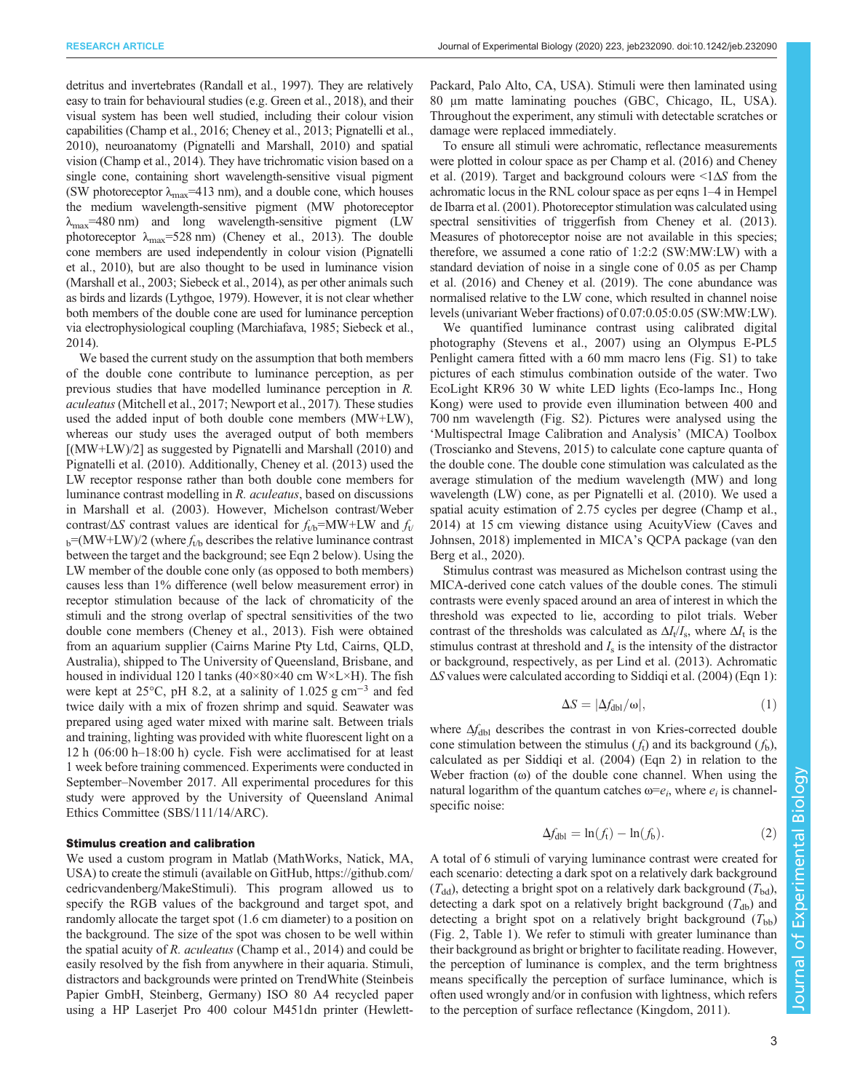detritus and invertebrates [\(Randall et al., 1997](#page-9-0)). They are relatively easy to train for behavioural studies (e.g. [Green et al., 2018\)](#page-8-0), and their visual system has been well studied, including their colour vision capabilities [\(Champ et al., 2016; Cheney et al., 2013;](#page-8-0) [Pignatelli et al.,](#page-9-0) [2010](#page-9-0)), neuroanatomy [\(Pignatelli and Marshall, 2010\)](#page-9-0) and spatial vision [\(Champ et al., 2014](#page-8-0)). They have trichromatic vision based on a single cone, containing short wavelength-sensitive visual pigment (SW photoreceptor  $\lambda_{\text{max}}$ =413 nm), and a double cone, which houses the medium wavelength-sensitive pigment (MW photoreceptor  $\lambda_{\text{max}}$ =480 nm) and long wavelength-sensitive pigment (LW) photoreceptor  $\lambda_{\text{max}}$ =528 nm) ([Cheney et al., 2013\)](#page-8-0). The double cone members are used independently in colour vision [\(Pignatelli](#page-9-0) [et al., 2010\)](#page-9-0), but are also thought to be used in luminance vision [\(Marshall et al., 2003;](#page-8-0) [Siebeck et al., 2014](#page-9-0)), as per other animals such as birds and lizards [\(Lythgoe, 1979](#page-8-0)). However, it is not clear whether both members of the double cone are used for luminance perception via electrophysiological coupling [\(Marchiafava, 1985;](#page-8-0) [Siebeck et al.,](#page-9-0) [2014](#page-9-0)).

We based the current study on the assumption that both members of the double cone contribute to luminance perception, as per previous studies that have modelled luminance perception in R. aculeatus([Mitchell et al., 2017; Newport et al., 2017\)](#page-9-0). These studies used the added input of both double cone members (MW+LW), whereas our study uses the averaged output of both members [(MW+LW)/2] as suggested by [Pignatelli and Marshall \(2010\)](#page-9-0) and [Pignatelli et al. \(2010\)](#page-9-0). Additionally, [Cheney et al. \(2013\)](#page-8-0) used the LW receptor response rather than both double cone members for luminance contrast modelling in R. aculeatus, based on discussions in [Marshall et al. \(2003\).](#page-8-0) However, Michelson contrast/Weber contrast/ $\Delta S$  contrast values are identical for  $f_{t/b}$ =MW+LW and  $f_{t/}$  $_{b}$ =(MW+LW)/2 (where  $f_{tb}$  describes the relative luminance contrast between the target and the background; see Eqn 2 below). Using the LW member of the double cone only (as opposed to both members) causes less than 1% difference (well below measurement error) in receptor stimulation because of the lack of chromaticity of the stimuli and the strong overlap of spectral sensitivities of the two double cone members [\(Cheney et al., 2013\)](#page-8-0). Fish were obtained from an aquarium supplier (Cairns Marine Pty Ltd, Cairns, QLD, Australia), shipped to The University of Queensland, Brisbane, and housed in individual 120 l tanks  $(40\times80\times40$  cm W $\times$ L $\times$ H). The fish were kept at 25°C, pH 8.2, at a salinity of 1.025 g cm<sup>-3</sup> and fed twice daily with a mix of frozen shrimp and squid. Seawater was prepared using aged water mixed with marine salt. Between trials and training, lighting was provided with white fluorescent light on a 12 h (06:00 h–18:00 h) cycle. Fish were acclimatised for at least 1 week before training commenced. Experiments were conducted in September–November 2017. All experimental procedures for this study were approved by the University of Queensland Animal Ethics Committee (SBS/111/14/ARC).

## Stimulus creation and calibration

We used a custom program in Matlab (MathWorks, Natick, MA, USA) to create the stimuli (available on GitHub, [https://github.com/](https://github.com/cedricvandenberg/MakeStimuli) [cedricvandenberg/MakeStimuli\)](https://github.com/cedricvandenberg/MakeStimuli). This program allowed us to specify the RGB values of the background and target spot, and randomly allocate the target spot (1.6 cm diameter) to a position on the background. The size of the spot was chosen to be well within the spatial acuity of R. aculeatus ([Champ et al., 2014](#page-8-0)) and could be easily resolved by the fish from anywhere in their aquaria. Stimuli, distractors and backgrounds were printed on TrendWhite (Steinbeis Papier GmbH, Steinberg, Germany) ISO 80 A4 recycled paper using a HP Laserjet Pro 400 colour M451dn printer (HewlettPackard, Palo Alto, CA, USA). Stimuli were then laminated using 80 μm matte laminating pouches (GBC, Chicago, IL, USA). Throughout the experiment, any stimuli with detectable scratches or damage were replaced immediately.

To ensure all stimuli were achromatic, reflectance measurements were plotted in colour space as per [Champ et al. \(2016\)](#page-8-0) and [Cheney](#page-8-0) [et al. \(2019\)](#page-8-0). Target and background colours were  $\leq 1\Delta S$  from the achromatic locus in the RNL colour space as per eqns 1–4 in [Hempel](#page-8-0) [de Ibarra et al. \(2001\)](#page-8-0). Photoreceptor stimulation was calculated using spectral sensitivities of triggerfish from [Cheney et al. \(2013\).](#page-8-0) Measures of photoreceptor noise are not available in this species; therefore, we assumed a cone ratio of 1:2:2 (SW:MW:LW) with a standard deviation of noise in a single cone of 0.05 as per [Champ](#page-8-0) [et al. \(2016\)](#page-8-0) and [Cheney et al. \(2019\).](#page-8-0) The cone abundance was normalised relative to the LW cone, which resulted in channel noise levels (univariant Weber fractions) of 0.07:0.05:0.05 (SW:MW:LW).

We quantified luminance contrast using calibrated digital photography [\(Stevens et al., 2007\)](#page-9-0) using an Olympus E-PL5 Penlight camera fitted with a 60 mm macro lens ([Fig. S1\)](https://jeb.biologists.org/lookup/doi/10.1242/jeb.232090.supplemental) to take pictures of each stimulus combination outside of the water. Two EcoLight KR96 30 W white LED lights (Eco-lamps Inc., Hong Kong) were used to provide even illumination between 400 and 700 nm wavelength [\(Fig. S2\)](https://jeb.biologists.org/lookup/doi/10.1242/jeb.232090.supplemental). Pictures were analysed using the 'Multispectral Image Calibration and Analysis' (MICA) Toolbox [\(Troscianko and Stevens, 2015](#page-9-0)) to calculate cone capture quanta of the double cone. The double cone stimulation was calculated as the average stimulation of the medium wavelength (MW) and long wavelength (LW) cone, as per [Pignatelli et al. \(2010\).](#page-9-0) We used a spatial acuity estimation of 2.75 cycles per degree ([Champ et al.,](#page-8-0) [2014\)](#page-8-0) at 15 cm viewing distance using AcuityView [\(Caves and](#page-8-0) [Johnsen, 2018\)](#page-8-0) implemented in MICA's QCPA package ([van den](#page-9-0) [Berg et al., 2020\)](#page-9-0).

Stimulus contrast was measured as Michelson contrast using the MICA-derived cone catch values of the double cones. The stimuli contrasts were evenly spaced around an area of interest in which the threshold was expected to lie, according to pilot trials. Weber contrast of the thresholds was calculated as  $\Delta I_t/I_s$ , where  $\Delta I_t$  is the stimulus contrast at threshold and  $I_s$  is the intensity of the distractor or background, respectively, as per [Lind et al. \(2013\).](#page-8-0) Achromatic ΔS values were calculated according to [Siddiqi et al. \(2004\)](#page-9-0) (Eqn 1):

$$
\Delta S = |\Delta f_{\text{dbl}}/\omega|,\tag{1}
$$

where  $\Delta f_{\text{dbl}}$  describes the contrast in von Kries-corrected double cone stimulation between the stimulus  $(f_t)$  and its background  $(f_b)$ , calculated as per [Siddiqi et al. \(2004\)](#page-9-0) (Eqn 2) in relation to the Weber fraction (ω) of the double cone channel. When using the natural logarithm of the quantum catches  $\omega = e_i$ , where  $e_i$  is channelspecific noise:

$$
\Delta f_{\text{dbl}} = \ln(f_{\text{t}}) - \ln(f_{\text{b}}). \tag{2}
$$

A total of 6 stimuli of varying luminance contrast were created for each scenario: detecting a dark spot on a relatively dark background  $(T_{dd})$ , detecting a bright spot on a relatively dark background  $(T_{bd})$ , detecting a dark spot on a relatively bright background  $(T_{db})$  and detecting a bright spot on a relatively bright background  $(T_{\text{bb}})$ [\(Fig. 2, Table 1\)](#page-3-0). We refer to stimuli with greater luminance than their background as bright or brighter to facilitate reading. However, the perception of luminance is complex, and the term brightness means specifically the perception of surface luminance, which is often used wrongly and/or in confusion with lightness, which refers to the perception of surface reflectance ([Kingdom, 2011\)](#page-8-0).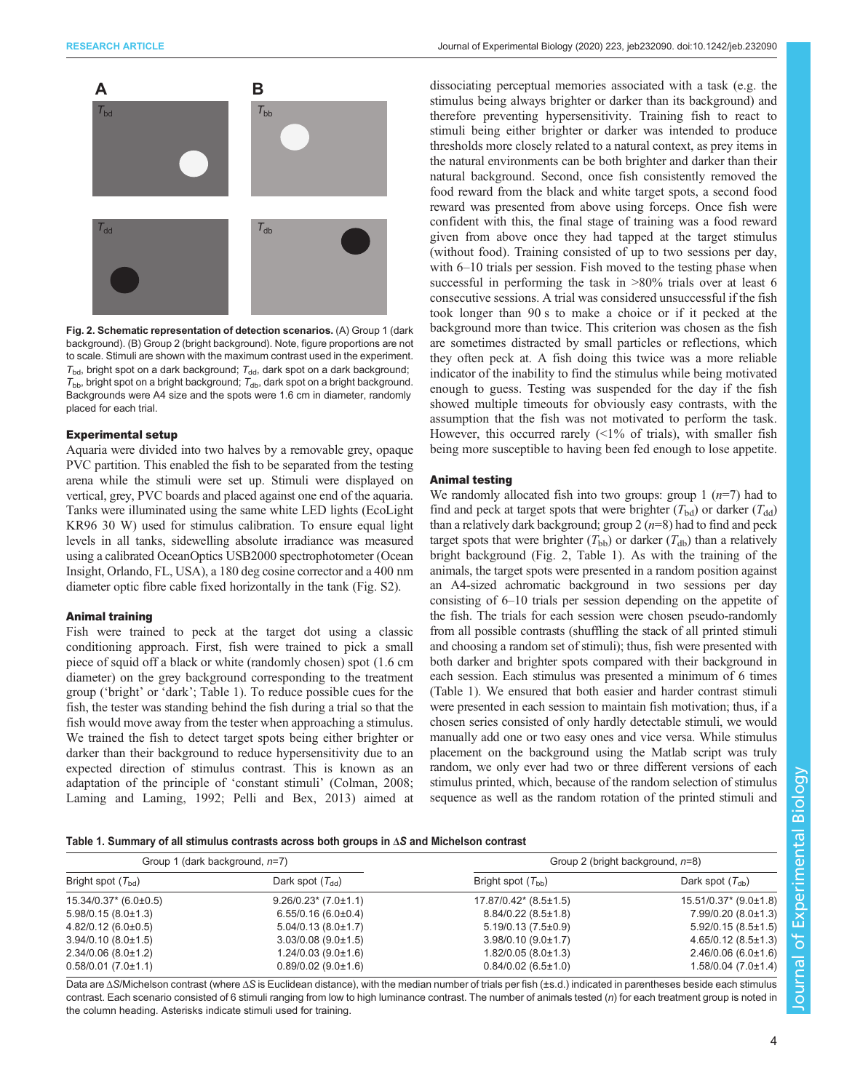<span id="page-3-0"></span>

Fig. 2. Schematic representation of detection scenarios. (A) Group 1 (dark background). (B) Group 2 (bright background). Note, figure proportions are not to scale. Stimuli are shown with the maximum contrast used in the experiment.  $T_{\text{bd}}$ , bright spot on a dark background;  $T_{\text{dd}}$ , dark spot on a dark background;  $T_{\text{bb}}$ , bright spot on a bright background;  $T_{\text{db}}$ , dark spot on a bright background. Backgrounds were A4 size and the spots were 1.6 cm in diameter, randomly placed for each trial.

#### Experimental setup

Aquaria were divided into two halves by a removable grey, opaque PVC partition. This enabled the fish to be separated from the testing arena while the stimuli were set up. Stimuli were displayed on vertical, grey, PVC boards and placed against one end of the aquaria. Tanks were illuminated using the same white LED lights (EcoLight KR96 30 W) used for stimulus calibration. To ensure equal light levels in all tanks, sidewelling absolute irradiance was measured using a calibrated OceanOptics USB2000 spectrophotometer (Ocean Insight, Orlando, FL, USA), a 180 deg cosine corrector and a 400 nm diameter optic fibre cable fixed horizontally in the tank ([Fig. S2\)](https://jeb.biologists.org/lookup/doi/10.1242/jeb.232090.supplemental).

#### Animal training

Fish were trained to peck at the target dot using a classic conditioning approach. First, fish were trained to pick a small piece of squid off a black or white (randomly chosen) spot (1.6 cm diameter) on the grey background corresponding to the treatment group ('bright' or 'dark'; Table 1). To reduce possible cues for the fish, the tester was standing behind the fish during a trial so that the fish would move away from the tester when approaching a stimulus. We trained the fish to detect target spots being either brighter or darker than their background to reduce hypersensitivity due to an expected direction of stimulus contrast. This is known as an adaptation of the principle of 'constant stimuli' [\(Colman, 2008](#page-8-0); [Laming and Laming, 1992](#page-8-0); [Pelli and Bex, 2013\)](#page-9-0) aimed at

dissociating perceptual memories associated with a task (e.g. the stimulus being always brighter or darker than its background) and therefore preventing hypersensitivity. Training fish to react to stimuli being either brighter or darker was intended to produce thresholds more closely related to a natural context, as prey items in the natural environments can be both brighter and darker than their natural background. Second, once fish consistently removed the food reward from the black and white target spots, a second food reward was presented from above using forceps. Once fish were confident with this, the final stage of training was a food reward given from above once they had tapped at the target stimulus (without food). Training consisted of up to two sessions per day, with 6–10 trials per session. Fish moved to the testing phase when successful in performing the task in  $>80\%$  trials over at least 6 consecutive sessions. A trial was considered unsuccessful if the fish took longer than 90 s to make a choice or if it pecked at the background more than twice. This criterion was chosen as the fish are sometimes distracted by small particles or reflections, which they often peck at. A fish doing this twice was a more reliable indicator of the inability to find the stimulus while being motivated enough to guess. Testing was suspended for the day if the fish showed multiple timeouts for obviously easy contrasts, with the assumption that the fish was not motivated to perform the task. However, this occurred rarely  $($ <1% of trials), with smaller fish being more susceptible to having been fed enough to lose appetite.

## Animal testing

We randomly allocated fish into two groups: group  $1(n=7)$  had to find and peck at target spots that were brighter  $(T_{bd})$  or darker  $(T_{dd})$ than a relatively dark background; group  $2(n=8)$  had to find and peck target spots that were brighter  $(T_{bb})$  or darker  $(T_{db})$  than a relatively bright background (Fig. 2, Table 1). As with the training of the animals, the target spots were presented in a random position against an A4-sized achromatic background in two sessions per day consisting of 6–10 trials per session depending on the appetite of the fish. The trials for each session were chosen pseudo-randomly from all possible contrasts (shuffling the stack of all printed stimuli and choosing a random set of stimuli); thus, fish were presented with both darker and brighter spots compared with their background in each session. Each stimulus was presented a minimum of 6 times (Table 1). We ensured that both easier and harder contrast stimuli were presented in each session to maintain fish motivation; thus, if a chosen series consisted of only hardly detectable stimuli, we would manually add one or two easy ones and vice versa. While stimulus placement on the background using the Matlab script was truly random, we only ever had two or three different versions of each stimulus printed, which, because of the random selection of stimulus sequence as well as the random rotation of the printed stimuli and

Table 1. Summary of all stimulus contrasts across both groups in ΔS and Michelson contrast

| Group 1 (dark background, n=7) |                             | Group 2 (bright background, n=8) |                              |
|--------------------------------|-----------------------------|----------------------------------|------------------------------|
| Bright spot $(T_{\text{bd}})$  | Dark spot $(T_{dd})$        | Bright spot $(T_{\text{bb}})$    | Dark spot $(T_{db})$         |
| $15.34/0.37$ (6.0±0.5)         | $9.26/0.23$ (7.0±1.1)       | $17.87/0.42$ (8.5±1.5)           | $15.51/0.37$ * $(9.0\pm1.8)$ |
| $5.98/0.15(8.0\pm1.3)$         | $6.55/0.16(6.0\pm0.4)$      | $8.84/0.22(8.5\pm1.8)$           | $7.99/0.20(8.0\pm1.3)$       |
| $4.82/0.12(6.0\pm0.5)$         | $5.04/0.13(8.0\pm1.7)$      | $5.19/0.13(7.5\pm0.9)$           | $5.92/0.15(8.5 \pm 1.5)$     |
| $3.94/0.10(8.0\pm1.5)$         | $3.03/0.08$ (9.0 $\pm$ 1.5) | $3.98/0.10(9.0\pm1.7)$           | $4.65/0.12(8.5\pm1.3)$       |
| $2.34/0.06(8.0\pm1.2)$         | $1.24/0.03(9.0\pm1.6)$      | $1.82/0.05(8.0\pm1.3)$           | $2.46/0.06(6.0\pm1.6)$       |
| $0.58/0.01$ (7.0±1.1)          | $0.89/0.02$ (9.0±1.6)       | $0.84/0.02$ (6.5±1.0)            | $1.58/0.04$ (7.0±1.4)        |

Data are ΔS/Michelson contrast (where ΔS is Euclidean distance), with the median number of trials per fish (±s.d.) indicated in parentheses beside each stimulus contrast. Each scenario consisted of 6 stimuli ranging from low to high luminance contrast. The number of animals tested (n) for each treatment group is noted in the column heading. Asterisks indicate stimuli used for training.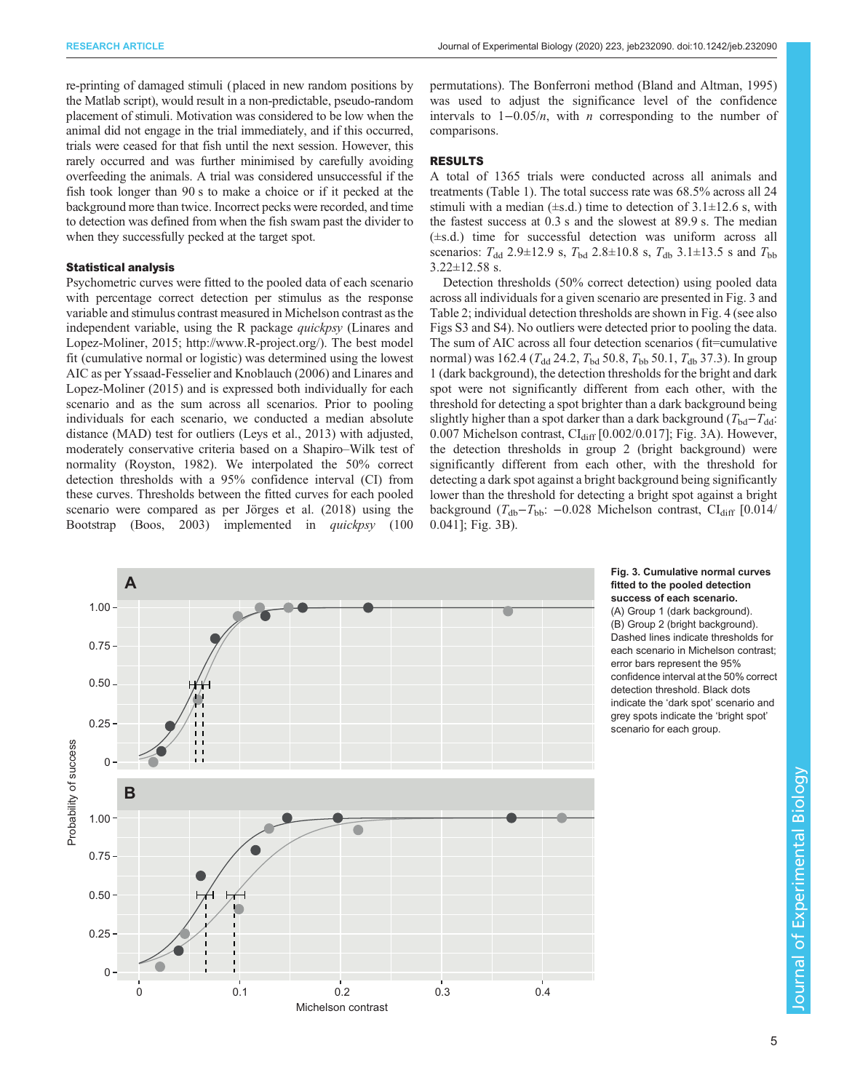<span id="page-4-0"></span>re-printing of damaged stimuli (placed in new random positions by the Matlab script), would result in a non-predictable, pseudo-random placement of stimuli. Motivation was considered to be low when the animal did not engage in the trial immediately, and if this occurred, trials were ceased for that fish until the next session. However, this rarely occurred and was further minimised by carefully avoiding overfeeding the animals. A trial was considered unsuccessful if the fish took longer than 90 s to make a choice or if it pecked at the background more than twice. Incorrect pecks were recorded, and time to detection was defined from when the fish swam past the divider to when they successfully pecked at the target spot.

### Statistical analysis

Psychometric curves were fitted to the pooled data of each scenario with percentage correct detection per stimulus as the response variable and stimulus contrast measured in Michelson contrast as the independent variable, using the R package *quickpsy* [\(Linares and](#page-8-0) [Lopez-Moliner, 2015](#page-8-0);<http://www.R-project.org/>). The best model fit (cumulative normal or logistic) was determined using the lowest AIC as per [Yssaad-Fesselier and Knoblauch \(2006\)](#page-9-0) and [Linares and](#page-8-0) [Lopez-Moliner \(2015\)](#page-8-0) and is expressed both individually for each scenario and as the sum across all scenarios. Prior to pooling individuals for each scenario, we conducted a median absolute distance (MAD) test for outliers [\(Leys et al., 2013\)](#page-8-0) with adjusted, moderately conservative criteria based on a Shapiro–Wilk test of normality ([Royston, 1982](#page-9-0)). We interpolated the 50% correct detection thresholds with a 95% confidence interval (CI) from these curves. Thresholds between the fitted curves for each pooled scenario were compared as per [Jörges et al. \(2018\)](#page-8-0) using the Bootstrap ([Boos, 2003\)](#page-8-0) implemented in quickpsy (100

permutations). The Bonferroni method ([Bland and Altman, 1995\)](#page-8-0) was used to adjust the significance level of the confidence intervals to  $1-0.05/n$ , with *n* corresponding to the number of comparisons.

## RESULTS

A total of 1365 trials were conducted across all animals and treatments ([Table 1](#page-3-0)). The total success rate was 68.5% across all 24 stimuli with a median  $(\pm s.d.)$  time to detection of 3.1 $\pm$ 12.6 s, with the fastest success at 0.3 s and the slowest at 89.9 s. The median (±s.d.) time for successful detection was uniform across all scenarios:  $T_{dd}$  2.9±12.9 s,  $T_{bd}$  2.8±10.8 s,  $T_{db}$  3.1±13.5 s and  $T_{bb}$ 3.22±12.58 s.

Detection thresholds (50% correct detection) using pooled data across all individuals for a given scenario are presented in Fig. 3 and [Table 2;](#page-5-0) individual detection thresholds are shown in [Fig. 4](#page-5-0) (see also [Figs S3 and S4\)](https://jeb.biologists.org/lookup/doi/10.1242/jeb.232090.supplemental). No outliers were detected prior to pooling the data. The sum of AIC across all four detection scenarios (fit=cumulative normal) was 162.4 ( $T_{dd}$  24.2,  $T_{bd}$  50.8,  $T_{bb}$  50.1,  $T_{db}$  37.3). In group 1 (dark background), the detection thresholds for the bright and dark spot were not significantly different from each other, with the threshold for detecting a spot brighter than a dark background being slightly higher than a spot darker than a dark background ( $T_{bd}-T_{dd}$ :  $0.007$  Michelson contrast,  $CI<sub>diff</sub>$  [0.002/0.017]; Fig. 3A). However, the detection thresholds in group 2 (bright background) were significantly different from each other, with the threshold for detecting a dark spot against a bright background being significantly lower than the threshold for detecting a bright spot against a bright background ( $T_{db}-T_{bb}$ : -0.028 Michelson contrast, CI $_{diff}$  [0.014/ 0.041]; Fig. 3B).



Fig. 3. Cumulative normal curves fitted to the pooled detection success of each scenario.

(A) Group 1 (dark background). (B) Group 2 (bright background). Dashed lines indicate thresholds for each scenario in Michelson contrast; error bars represent the 95% confidence interval at the 50% correct detection threshold. Black dots indicate the 'dark spot' scenario and grey spots indicate the 'bright spot' scenario for each group.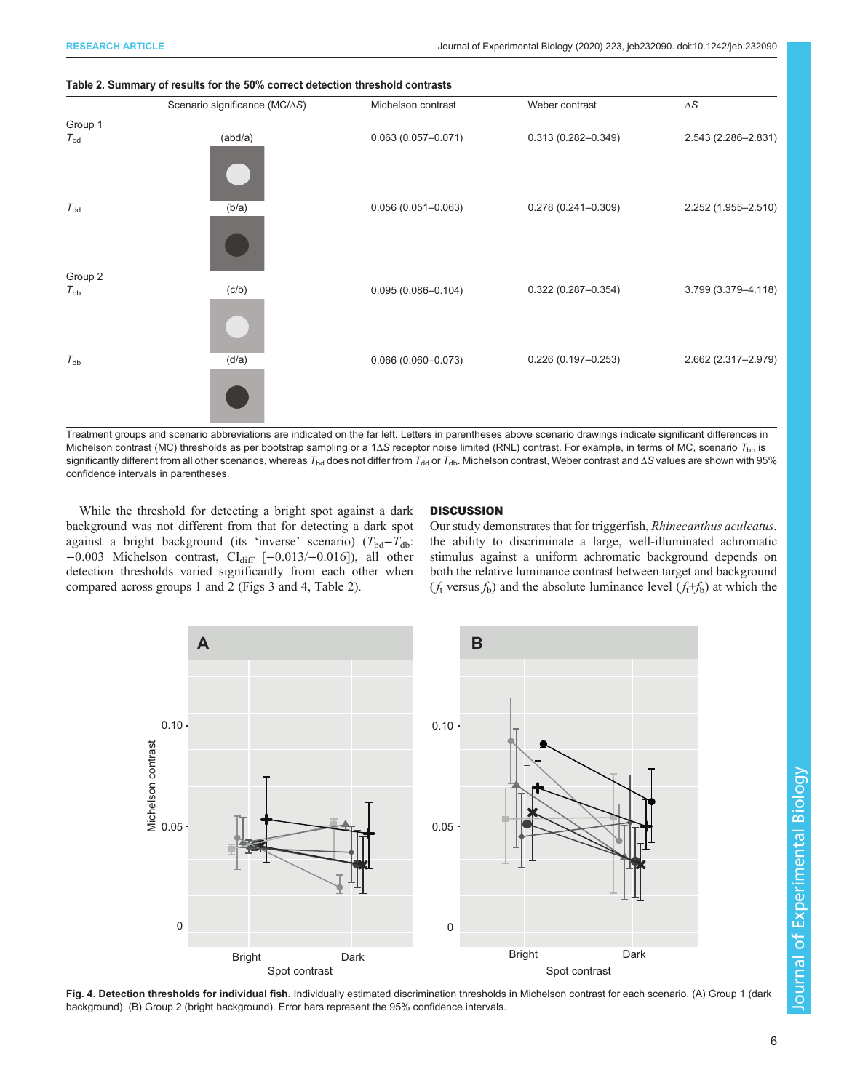

#### <span id="page-5-0"></span>Table 2. Summary of results for the 50% correct detection threshold contrasts

Treatment groups and scenario abbreviations are indicated on the far left. Letters in parentheses above scenario drawings indicate significant differences in Michelson contrast (MC) thresholds as per bootstrap sampling or a 1 $\Delta S$  receptor noise limited (RNL) contrast. For example, in terms of MC, scenario  $T_{\text{bb}}$  is significantly different from all other scenarios, whereas  $T_{\text{bd}}$  does not differ from  $T_{\text{dd}}$  or  $T_{\text{db}}$ . Michelson contrast, Weber contrast and  $\Delta S$  values are shown with 95% confidence intervals in parentheses.

While the threshold for detecting a bright spot against a dark background was not different from that for detecting a dark spot against a bright background (its 'inverse' scenario)  $(T_{bd}-T_{db})$ : −0.003 Michelson contrast, CIdiff [−0.013/−0.016]), all other detection thresholds varied significantly from each other when compared across groups 1 and 2 ([Figs 3](#page-4-0) and 4, Table 2).

#### **DISCUSSION**

Our study demonstrates that for triggerfish, Rhinecanthus aculeatus, the ability to discriminate a large, well-illuminated achromatic stimulus against a uniform achromatic background depends on both the relative luminance contrast between target and background  $(f_t$  versus  $f_b$ ) and the absolute luminance level  $(f_t+f_b)$  at which the



Fig. 4. Detection thresholds for individual fish. Individually estimated discrimination thresholds in Michelson contrast for each scenario. (A) Group 1 (dark background). (B) Group 2 (bright background). Error bars represent the 95% confidence intervals.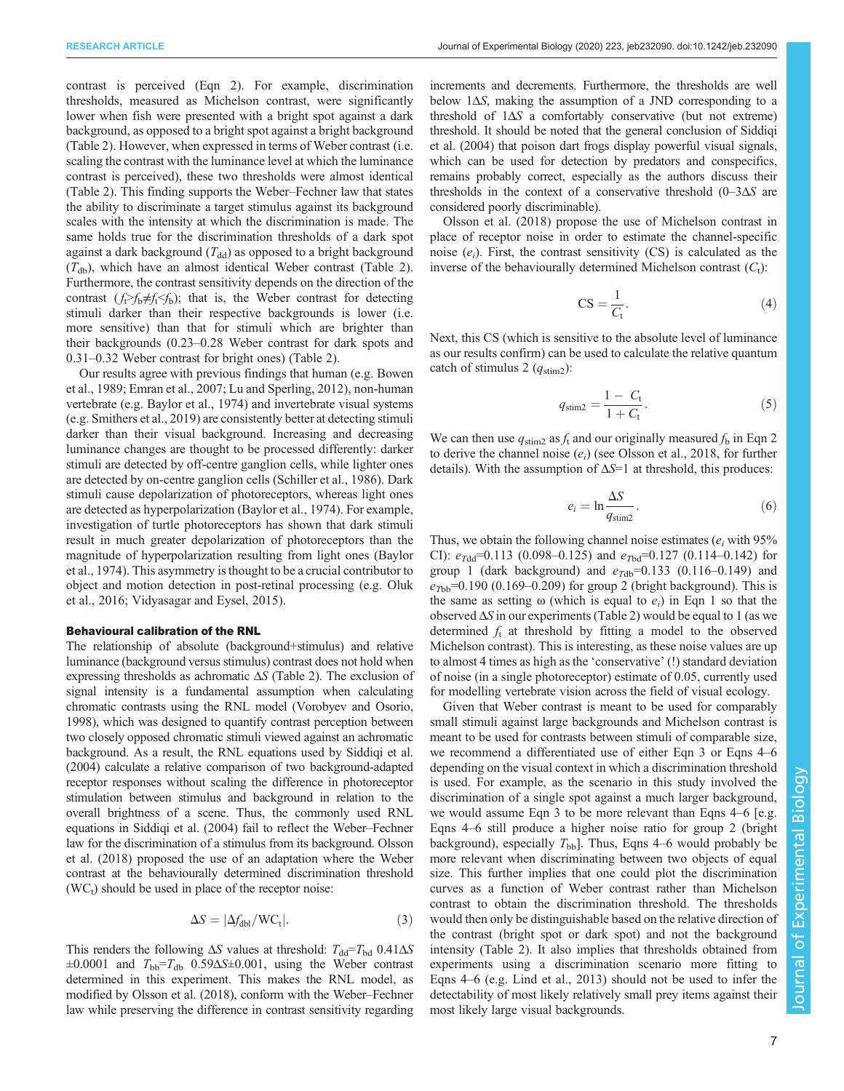contrast is perceived (Eqn 2). For example, discrimination thresholds, measured as Michelson contrast, were significantly lower when fish were presented with a bright spot against a dark background, as opposed to a bright spot against a bright background [\(Table 2\)](#page-5-0). However, when expressed in terms of Weber contrast (i.e. scaling the contrast with the luminance level at which the luminance contrast is perceived), these two thresholds were almost identical [\(Table 2\)](#page-5-0). This finding supports the Weber–Fechner law that states the ability to discriminate a target stimulus against its background scales with the intensity at which the discrimination is made. The same holds true for the discrimination thresholds of a dark spot against a dark background  $(T_{dd})$  as opposed to a bright background  $(T<sub>db</sub>)$ , which have an almost identical Weber contrast ([Table 2\)](#page-5-0). Furthermore, the contrast sensitivity depends on the direction of the contrast  $(f \geq f_h \neq f_f \leq f_h)$ ; that is, the Weber contrast for detecting stimuli darker than their respective backgrounds is lower (i.e. more sensitive) than that for stimuli which are brighter than their backgrounds (0.23–0.28 Weber contrast for dark spots and 0.31–0.32 Weber contrast for bright ones) ([Table 2](#page-5-0)).

Our results agree with previous findings that human (e.g. [Bowen](#page-8-0) [et al., 1989](#page-8-0); [Emran et al., 2007; Lu and Sperling, 2012\)](#page-8-0), non-human vertebrate (e.g. [Baylor et al., 1974](#page-8-0)) and invertebrate visual systems (e.g. [Smithers et al., 2019](#page-9-0)) are consistently better at detecting stimuli darker than their visual background. Increasing and decreasing luminance changes are thought to be processed differently: darker stimuli are detected by off-centre ganglion cells, while lighter ones are detected by on-centre ganglion cells [\(Schiller et al., 1986\)](#page-9-0). Dark stimuli cause depolarization of photoreceptors, whereas light ones are detected as hyperpolarization [\(Baylor et al., 1974\)](#page-8-0). For example, investigation of turtle photoreceptors has shown that dark stimuli result in much greater depolarization of photoreceptors than the magnitude of hyperpolarization resulting from light ones ([Baylor](#page-8-0) [et al., 1974\)](#page-8-0). This asymmetry is thought to be a crucial contributor to object and motion detection in post-retinal processing (e.g. [Oluk](#page-9-0) [et al., 2016; Vidyasagar and Eysel, 2015](#page-9-0)).

#### Behavioural calibration of the RNL

The relationship of absolute (background+stimulus) and relative luminance (background versus stimulus) contrast does not hold when expressing thresholds as achromatic  $\Delta S$  [\(Table 2\)](#page-5-0). The exclusion of signal intensity is a fundamental assumption when calculating chromatic contrasts using the RNL model [\(Vorobyev and Osorio,](#page-9-0) [1998\)](#page-9-0), which was designed to quantify contrast perception between two closely opposed chromatic stimuli viewed against an achromatic background. As a result, the RNL equations used by [Siddiqi et al.](#page-9-0) [\(2004\)](#page-9-0) calculate a relative comparison of two background-adapted receptor responses without scaling the difference in photoreceptor stimulation between stimulus and background in relation to the overall brightness of a scene. Thus, the commonly used RNL equations in [Siddiqi et al. \(2004\)](#page-9-0) fail to reflect the Weber–Fechner law for the discrimination of a stimulus from its background. [Olsson](#page-9-0) [et al. \(2018\)](#page-9-0) proposed the use of an adaptation where the Weber contrast at the behaviourally determined discrimination threshold  $(WC<sub>t</sub>)$  should be used in place of the receptor noise:

$$
\Delta S = |\Delta f_{\text{dbl}} / \text{WC}_{\text{t}}|.
$$
 (3)

This renders the following  $\Delta S$  values at threshold:  $T_{dd} = T_{bd} \cdot 0.41 \Delta S$  $\pm 0.0001$  and  $T_{\text{bb}} = T_{\text{db}}$  0.59 $\Delta S \pm 0.001$ , using the Weber contrast determined in this experiment. This makes the RNL model, as modified by [Olsson et al. \(2018\),](#page-9-0) conform with the Weber–Fechner law while preserving the difference in contrast sensitivity regarding increments and decrements. Furthermore, the thresholds are well below 1ΔS, making the assumption of a JND corresponding to a threshold of 1ΔS a comfortably conservative (but not extreme) threshold. It should be noted that the general conclusion of [Siddiqi](#page-9-0) [et al. \(2004\)](#page-9-0) that poison dart frogs display powerful visual signals, which can be used for detection by predators and conspecifics, remains probably correct, especially as the authors discuss their thresholds in the context of a conservative threshold  $(0-3\Delta S)$  are considered poorly discriminable).

[Olsson et al. \(2018\)](#page-9-0) propose the use of Michelson contrast in place of receptor noise in order to estimate the channel-specific noise  $(e_i)$ . First, the contrast sensitivity (CS) is calculated as the inverse of the behaviourally determined Michelson contrast  $(C_t)$ :

$$
CS = \frac{1}{C_t}.\tag{4}
$$

Next, this CS (which is sensitive to the absolute level of luminance as our results confirm) can be used to calculate the relative quantum catch of stimulus 2  $(q_{\text{stim2}})$ :

$$
q_{\text{stim2}} = \frac{1 - C_{\text{t}}}{1 + C_{\text{t}}}.
$$
 (5)

We can then use  $q_{\text{stim2}}$  as  $f_t$  and our originally measured  $f_b$  in Eqn 2 to derive the channel noise  $(e_i)$  (see [Olsson et al., 2018](#page-9-0), for further details). With the assumption of  $\Delta S=1$  at threshold, this produces:

$$
e_i = \ln \frac{\Delta S}{q_{\text{stim2}}}.\tag{6}
$$

Thus, we obtain the following channel noise estimates ( $e_i$  with 95% CI):  $e_{Tdd}$ =0.113 (0.098–0.125) and  $e_{Tbd}$ =0.127 (0.114–0.142) for group 1 (dark background) and  $e_{Tdb}$ =0.133 (0.116–0.149) and  $e_{Tb}$ =0.190 (0.169–0.209) for group 2 (bright background). This is the same as setting  $\omega$  (which is equal to  $e_i$ ) in Eqn 1 so that the observed  $\Delta S$  in our experiments ([Table 2\)](#page-5-0) would be equal to 1 (as we determined  $f_t$  at threshold by fitting a model to the observed Michelson contrast). This is interesting, as these noise values are up to almost 4 times as high as the 'conservative' (!) standard deviation of noise (in a single photoreceptor) estimate of 0.05, currently used for modelling vertebrate vision across the field of visual ecology.

Given that Weber contrast is meant to be used for comparably small stimuli against large backgrounds and Michelson contrast is meant to be used for contrasts between stimuli of comparable size, we recommend a differentiated use of either Eqn 3 or Eqns 4–6 depending on the visual context in which a discrimination threshold is used. For example, as the scenario in this study involved the discrimination of a single spot against a much larger background, we would assume Eqn 3 to be more relevant than Eqns 4–6 [e.g. Eqns 4–6 still produce a higher noise ratio for group 2 (bright background), especially  $T_{bb}$ . Thus, Eqns 4–6 would probably be more relevant when discriminating between two objects of equal size. This further implies that one could plot the discrimination curves as a function of Weber contrast rather than Michelson contrast to obtain the discrimination threshold. The thresholds would then only be distinguishable based on the relative direction of the contrast (bright spot or dark spot) and not the background intensity [\(Table 2\)](#page-5-0). It also implies that thresholds obtained from experiments using a discrimination scenario more fitting to Eqns 4–6 (e.g. [Lind et al., 2013](#page-8-0)) should not be used to infer the detectability of most likely relatively small prey items against their most likely large visual backgrounds.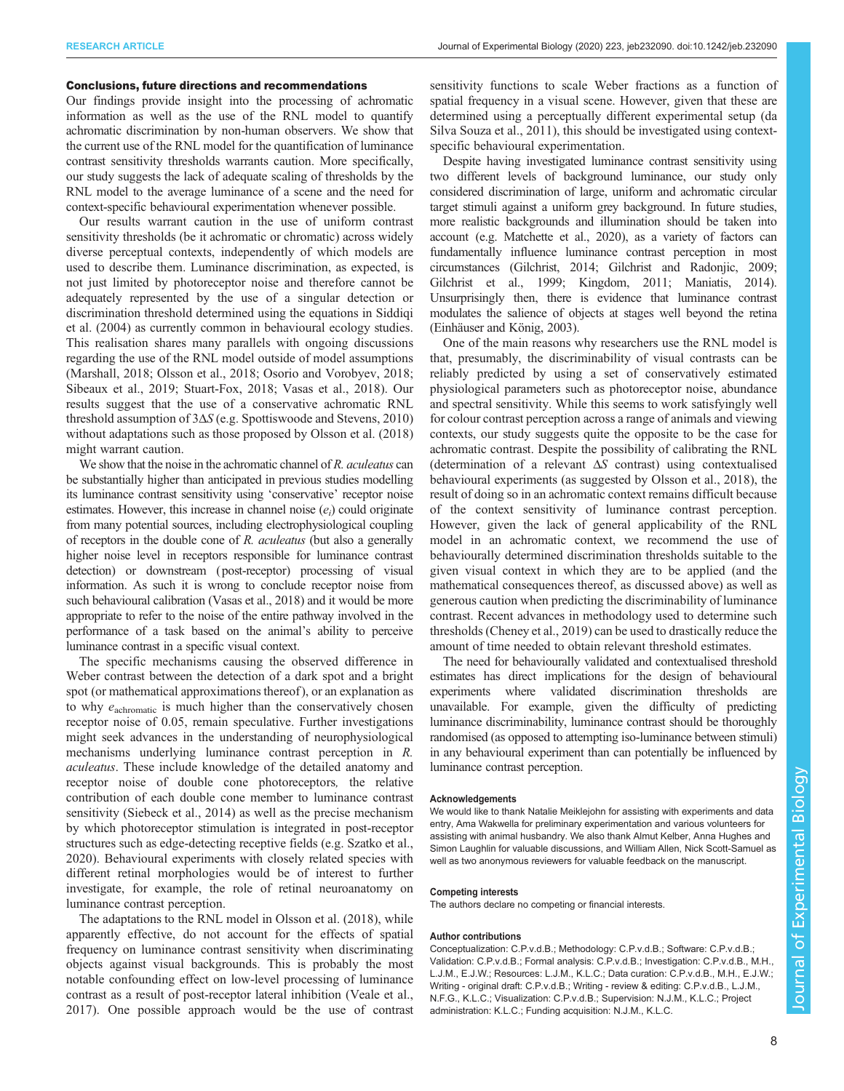#### Conclusions, future directions and recommendations

Our findings provide insight into the processing of achromatic information as well as the use of the RNL model to quantify achromatic discrimination by non-human observers. We show that the current use of the RNL model for the quantification of luminance contrast sensitivity thresholds warrants caution. More specifically, our study suggests the lack of adequate scaling of thresholds by the RNL model to the average luminance of a scene and the need for context-specific behavioural experimentation whenever possible.

Our results warrant caution in the use of uniform contrast sensitivity thresholds (be it achromatic or chromatic) across widely diverse perceptual contexts, independently of which models are used to describe them. Luminance discrimination, as expected, is not just limited by photoreceptor noise and therefore cannot be adequately represented by the use of a singular detection or discrimination threshold determined using the equations in [Siddiqi](#page-9-0) [et al. \(2004\)](#page-9-0) as currently common in behavioural ecology studies. This realisation shares many parallels with ongoing discussions regarding the use of the RNL model outside of model assumptions [\(Marshall, 2018;](#page-8-0) [Olsson et al., 2018; Osorio and Vorobyev, 2018](#page-9-0); [Sibeaux et al., 2019](#page-9-0); [Stuart-Fox, 2018; Vasas et al., 2018](#page-9-0)). Our results suggest that the use of a conservative achromatic RNL threshold assumption of 3ΔS (e.g. [Spottiswoode and Stevens, 2010\)](#page-9-0) without adaptations such as those proposed by [Olsson et al. \(2018\)](#page-9-0) might warrant caution.

We show that the noise in the achromatic channel of R. *aculeatus* can be substantially higher than anticipated in previous studies modelling its luminance contrast sensitivity using 'conservative' receptor noise estimates. However, this increase in channel noise  $(e_i)$  could originate from many potential sources, including electrophysiological coupling of receptors in the double cone of R. aculeatus (but also a generally higher noise level in receptors responsible for luminance contrast detection) or downstream (post-receptor) processing of visual information. As such it is wrong to conclude receptor noise from such behavioural calibration [\(Vasas et al., 2018\)](#page-9-0) and it would be more appropriate to refer to the noise of the entire pathway involved in the performance of a task based on the animal's ability to perceive luminance contrast in a specific visual context.

The specific mechanisms causing the observed difference in Weber contrast between the detection of a dark spot and a bright spot (or mathematical approximations thereof ), or an explanation as to why  $e_{\text{achromatic}}$  is much higher than the conservatively chosen receptor noise of 0.05, remain speculative. Further investigations might seek advances in the understanding of neurophysiological mechanisms underlying luminance contrast perception in R. aculeatus. These include knowledge of the detailed anatomy and receptor noise of double cone photoreceptors, the relative contribution of each double cone member to luminance contrast sensitivity ([Siebeck et al., 2014\)](#page-9-0) as well as the precise mechanism by which photoreceptor stimulation is integrated in post-receptor structures such as edge-detecting receptive fields (e.g. [Szatko et al.,](#page-9-0) [2020](#page-9-0)). Behavioural experiments with closely related species with different retinal morphologies would be of interest to further investigate, for example, the role of retinal neuroanatomy on luminance contrast perception.

The adaptations to the RNL model in [Olsson et al. \(2018\)](#page-9-0), while apparently effective, do not account for the effects of spatial frequency on luminance contrast sensitivity when discriminating objects against visual backgrounds. This is probably the most notable confounding effect on low-level processing of luminance contrast as a result of post-receptor lateral inhibition ([Veale et al.,](#page-9-0) [2017](#page-9-0)). One possible approach would be the use of contrast

sensitivity functions to scale Weber fractions as a function of spatial frequency in a visual scene. However, given that these are determined using a perceptually different experimental setup [\(da](#page-8-0) [Silva Souza et al., 2011\)](#page-8-0), this should be investigated using contextspecific behavioural experimentation.

Despite having investigated luminance contrast sensitivity using two different levels of background luminance, our study only considered discrimination of large, uniform and achromatic circular target stimuli against a uniform grey background. In future studies, more realistic backgrounds and illumination should be taken into account (e.g. [Matchette et al., 2020\)](#page-9-0), as a variety of factors can fundamentally influence luminance contrast perception in most circumstances ([Gilchrist,](#page-8-0) 2014; [Gilchrist and Radonjic, 2009](#page-8-0); [Gilchrist et al., 1999; Kingdom, 2011; Maniatis, 2014\)](#page-8-0). Unsurprisingly then, there is evidence that luminance contrast modulates the salience of objects at stages well beyond the retina [\(Einhäuser and König, 2003](#page-8-0)).

One of the main reasons why researchers use the RNL model is that, presumably, the discriminability of visual contrasts can be reliably predicted by using a set of conservatively estimated physiological parameters such as photoreceptor noise, abundance and spectral sensitivity. While this seems to work satisfyingly well for colour contrast perception across a range of animals and viewing contexts, our study suggests quite the opposite to be the case for achromatic contrast. Despite the possibility of calibrating the RNL (determination of a relevant  $\Delta S$  contrast) using contextualised behavioural experiments (as suggested by [Olsson et al., 2018](#page-9-0)), the result of doing so in an achromatic context remains difficult because of the context sensitivity of luminance contrast perception. However, given the lack of general applicability of the RNL model in an achromatic context, we recommend the use of behaviourally determined discrimination thresholds suitable to the given visual context in which they are to be applied (and the mathematical consequences thereof, as discussed above) as well as generous caution when predicting the discriminability of luminance contrast. Recent advances in methodology used to determine such thresholds [\(Cheney et al., 2019\)](#page-8-0) can be used to drastically reduce the amount of time needed to obtain relevant threshold estimates.

The need for behaviourally validated and contextualised threshold estimates has direct implications for the design of behavioural experiments where validated discrimination thresholds are unavailable. For example, given the difficulty of predicting luminance discriminability, luminance contrast should be thoroughly randomised (as opposed to attempting iso-luminance between stimuli) in any behavioural experiment than can potentially be influenced by luminance contrast perception.

#### Acknowledgements

We would like to thank Natalie Meiklejohn for assisting with experiments and data entry, Ama Wakwella for preliminary experimentation and various volunteers for assisting with animal husbandry. We also thank Almut Kelber, Anna Hughes and Simon Laughlin for valuable discussions, and William Allen, Nick Scott-Samuel as well as two anonymous reviewers for valuable feedback on the manuscript.

#### Competing interests

The authors declare no competing or financial interests.

#### Author contributions

Conceptualization: C.P.v.d.B.; Methodology: C.P.v.d.B.; Software: C.P.v.d.B.; Validation: C.P.v.d.B.; Formal analysis: C.P.v.d.B.; Investigation: C.P.v.d.B., M.H., L.J.M., E.J.W.; Resources: L.J.M., K.L.C.; Data curation: C.P.v.d.B., M.H., E.J.W.; Writing - original draft: C.P.v.d.B.; Writing - review & editing: C.P.v.d.B., L.J.M., N.F.G., K.L.C.; Visualization: C.P.v.d.B.; Supervision: N.J.M., K.L.C.; Project administration: K.L.C.; Funding acquisition: N.J.M., K.L.C.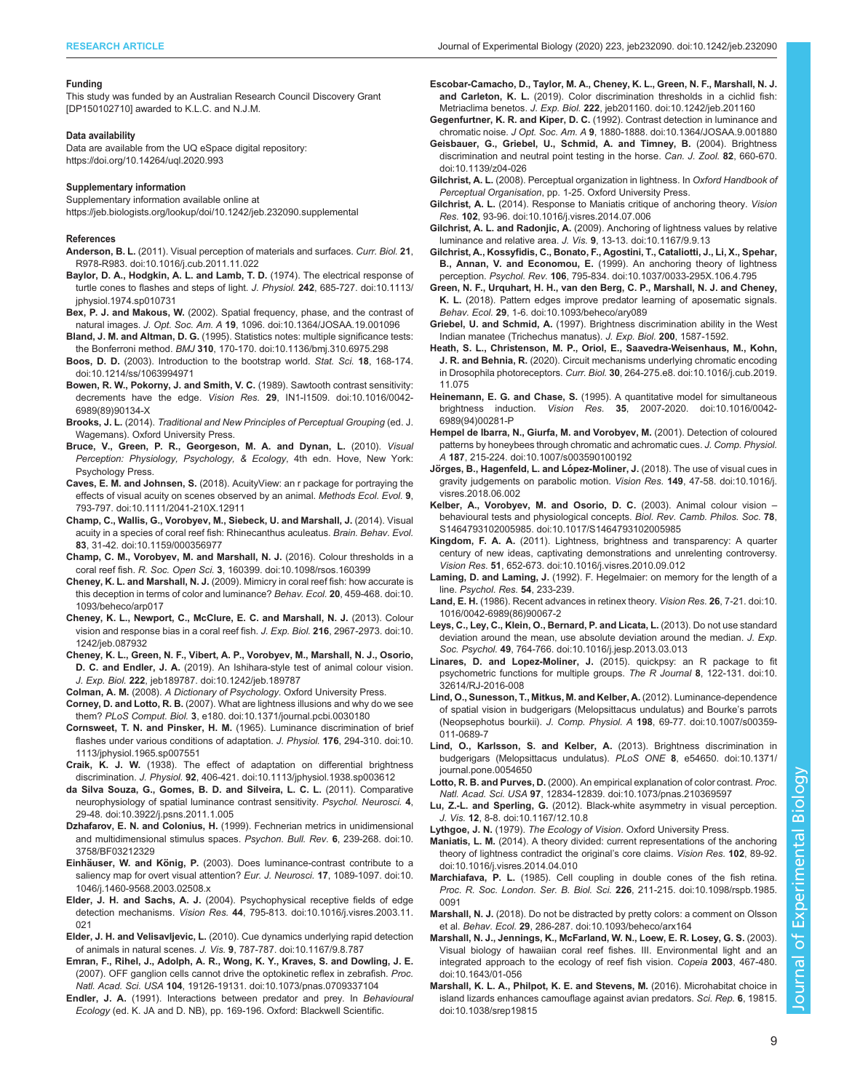#### <span id="page-8-0"></span>RESEARCH ARTICLE **ARTICLE** ARTICLE ARTICLE **Journal of Experimental Biology (2020) 223, jeb232090. doi:10.1242/jeb.232090**

#### Funding

This study was funded by an Australian Research Council Discovery Grant [DP150102710] awarded to K.L.C. and N.J.M.

#### Data availability

Data are available from the UQ eSpace digital repository: <https://doi.org/10.14264/uql.2020.993>

#### Supplementary information

Supplementary information available online at <https://jeb.biologists.org/lookup/doi/10.1242/jeb.232090.supplemental>

#### References

- Anderson, B. L. [\(2011\). Visual perception of materials and surfaces.](https://doi.org/10.1016/j.cub.2011.11.022) Curr. Biol. 21, [R978-R983. doi:10.1016/j.cub.2011.11.022](https://doi.org/10.1016/j.cub.2011.11.022)
- [Baylor, D. A., Hodgkin, A. L. and Lamb, T. D.](https://doi.org/10.1113/jphysiol.1974.sp010731) (1974). The electrical response of [turtle cones to flashes and steps of light.](https://doi.org/10.1113/jphysiol.1974.sp010731) J. Physiol. 242, 685-727. doi:10.1113/ [jphysiol.1974.sp010731](https://doi.org/10.1113/jphysiol.1974.sp010731)
- Bex, P. J. and Makous, W. [\(2002\). Spatial frequency, phase, and the contrast of](https://doi.org/10.1364/JOSAA.19.001096) natural images. J. Opt. Soc. Am. A 19[, 1096. doi:10.1364/JOSAA.19.001096](https://doi.org/10.1364/JOSAA.19.001096)
- Bland, J. M. and Altman, D. G. [\(1995\). Statistics notes: multiple significance tests:](https://doi.org/10.1136/bmj.310.6975.298) the Bonferroni method. BMJ 310[, 170-170. doi:10.1136/bmj.310.6975.298](https://doi.org/10.1136/bmj.310.6975.298)
- Boos, D. D. [\(2003\). Introduction to the bootstrap world.](https://doi.org/10.1214/ss/1063994971) Stat. Sci. 18, 168-174. [doi:10.1214/ss/1063994971](https://doi.org/10.1214/ss/1063994971)
- [Bowen, R. W., Pokorny, J. and Smith, V. C.](https://doi.org/10.1016/0042-6989(89)90134-X) (1989). Sawtooth contrast sensitivity: decrements have the edge. Vision Res. 29[, IN1-I1509. doi:10.1016/0042-](https://doi.org/10.1016/0042-6989(89)90134-X) [6989\(89\)90134-X](https://doi.org/10.1016/0042-6989(89)90134-X)
- Brooks, J. L. (2014). Traditional and New Principles of Perceptual Grouping (ed. J. Wagemans). Oxford University Press.
- Bruce, V., Green, P. R., Georgeson, M. A. and Dynan, L. (2010). Visual Perception: Physiology, Psychology, & Ecology, 4th edn. Hove, New York: Psychology Press.
- Caves, E. M. and Johnsen, S. [\(2018\). AcuityView: an r package for portraying the](https://doi.org/10.1111/2041-210X.12911) [effects of visual acuity on scenes observed by an animal.](https://doi.org/10.1111/2041-210X.12911) Methods Ecol. Evol. 9, [793-797. doi:10.1111/2041-210X.12911](https://doi.org/10.1111/2041-210X.12911)
- [Champ, C., Wallis, G., Vorobyev, M., Siebeck, U. and Marshall, J.](https://doi.org/10.1159/000356977) (2014). Visual [acuity in a species of coral reef fish: Rhinecanthus aculeatus.](https://doi.org/10.1159/000356977) Brain. Behav. Evol. 83[, 31-42. doi:10.1159/000356977](https://doi.org/10.1159/000356977)
- [Champ, C. M., Vorobyev, M. and Marshall, N. J.](https://doi.org/10.1098/rsos.160399) (2016). Colour thresholds in a coral reef fish. R. Soc. Open Sci. 3[, 160399. doi:10.1098/rsos.160399](https://doi.org/10.1098/rsos.160399)
- Cheney, K. L. and Marshall, N. J. [\(2009\). Mimicry in coral reef fish: how accurate is](https://doi.org/10.1093/beheco/arp017) [this deception in terms of color and luminance?](https://doi.org/10.1093/beheco/arp017) Behav. Ecol. 20, 459-468. doi:10. [1093/beheco/arp017](https://doi.org/10.1093/beheco/arp017)
- [Cheney, K. L., Newport, C., McClure, E. C. and Marshall, N. J.](https://doi.org/10.1242/jeb.087932) (2013). Colour [vision and response bias in a coral reef fish.](https://doi.org/10.1242/jeb.087932) J. Exp. Biol. 216, 2967-2973. doi:10. [1242/jeb.087932](https://doi.org/10.1242/jeb.087932)
- [Cheney, K. L., Green, N. F., Vibert, A. P., Vorobyev, M., Marshall, N. J., Osorio,](https://doi.org/10.1242/jeb.189787) D. C. and Endler, J. A. [\(2019\). An Ishihara-style test of animal colour vision.](https://doi.org/10.1242/jeb.189787) J. Exp. Biol. 222[, jeb189787. doi:10.1242/jeb.189787](https://doi.org/10.1242/jeb.189787)
- Colman, A. M. (2008). A Dictionary of Psychology. Oxford University Press.
- Corney, D. and Lotto, R. B. [\(2007\). What are lightness illusions and why do we see](https://doi.org/10.1371/journal.pcbi.0030180) them? PLoS Comput. Biol. 3[, e180. doi:10.1371/journal.pcbi.0030180](https://doi.org/10.1371/journal.pcbi.0030180)
- Cornsweet, T. N. and Pinsker, H. M. [\(1965\). Luminance discrimination of brief](https://doi.org/10.1113/jphysiol.1965.sp007551) [flashes under various conditions of adaptation.](https://doi.org/10.1113/jphysiol.1965.sp007551) J. Physiol. 176, 294-310. doi:10. [1113/jphysiol.1965.sp007551](https://doi.org/10.1113/jphysiol.1965.sp007551)
- Craik, K. J. W. [\(1938\). The effect of adaptation on differential brightness](https://doi.org/10.1113/jphysiol.1938.sp003612) discrimination. J. Physiol. 92[, 406-421. doi:10.1113/jphysiol.1938.sp003612](https://doi.org/10.1113/jphysiol.1938.sp003612)
- [da Silva Souza, G., Gomes, B. D. and Silveira, L. C. L.](https://doi.org/10.3922/j.psns.2011.1.005) (2011). Comparative [neurophysiology of spatial luminance contrast sensitivity.](https://doi.org/10.3922/j.psns.2011.1.005) Psychol. Neurosci. 4, [29-48. doi:10.3922/j.psns.2011.1.005](https://doi.org/10.3922/j.psns.2011.1.005)
- Dzhafarov, E. N. and Colonius, H. [\(1999\). Fechnerian metrics in unidimensional](https://doi.org/10.3758/BF03212329) [and multidimensional stimulus spaces.](https://doi.org/10.3758/BF03212329) Psychon. Bull. Rev. 6, 239-268. doi:10. [3758/BF03212329](https://doi.org/10.3758/BF03212329)
- Einhäuser, W. and König, P. [\(2003\). Does luminance-contrast contribute to a](https://doi.org/10.1046/j.1460-9568.2003.02508.x) [saliency map for overt visual attention?](https://doi.org/10.1046/j.1460-9568.2003.02508.x) Eur. J. Neurosci. 17, 1089-1097. doi:10. [1046/j.1460-9568.2003.02508.x](https://doi.org/10.1046/j.1460-9568.2003.02508.x)
- Elder, J. H. and Sachs, A. J. [\(2004\). Psychophysical receptive fields of edge](https://doi.org/10.1016/j.visres.2003.11.021) detection mechanisms. Vision Res. 44[, 795-813. doi:10.1016/j.visres.2003.11.](https://doi.org/10.1016/j.visres.2003.11.021) [021](https://doi.org/10.1016/j.visres.2003.11.021)
- Elder, J. H. and Velisavljevic, L. [\(2010\). Cue dynamics underlying rapid detection](https://doi.org/10.1167/9.8.787) of animals in natural scenes. J. Vis. 9[, 787-787. doi:10.1167/9.8.787](https://doi.org/10.1167/9.8.787)
- [Emran, F., Rihel, J., Adolph, A. R., Wong, K. Y., Kraves, S. and Dowling, J. E.](https://doi.org/10.1073/pnas.0709337104) [\(2007\). OFF ganglion cells cannot drive the optokinetic reflex in zebrafish.](https://doi.org/10.1073/pnas.0709337104) Proc. Natl. Acad. Sci. USA 104[, 19126-19131. doi:10.1073/pnas.0709337104](https://doi.org/10.1073/pnas.0709337104)
- Endler, J. A. (1991). Interactions between predator and prey. In Behavioural Ecology (ed. K. JA and D. NB), pp. 169-196. Oxford: Blackwell Scientific.
- [Escobar-Camacho, D., Taylor, M. A., Cheney, K. L., Green, N. F., Marshall, N. J.](https://doi.org/10.1242/jeb.201160) and Carleton, K. L. [\(2019\). Color discrimination thresholds in a cichlid fish:](https://doi.org/10.1242/jeb.201160) Metriaclima benetos. J. Exp. Biol. 222[, jeb201160. doi:10.1242/jeb.201160](https://doi.org/10.1242/jeb.201160)
- Gegenfurtner, K. R. and Kiper, D. C. [\(1992\). Contrast detection in luminance and](https://doi.org/10.1364/JOSAA.9.001880) chromatic noise. J Opt. Soc. Am. A 9[, 1880-1888. doi:10.1364/JOSAA.9.001880](https://doi.org/10.1364/JOSAA.9.001880)
- [Geisbauer, G., Griebel, U., Schmid, A. and Timney, B.](https://doi.org/10.1139/z04-026) (2004). Brightness [discrimination and neutral point testing in the horse.](https://doi.org/10.1139/z04-026) Can. J. Zool. 82, 660-670. [doi:10.1139/z04-026](https://doi.org/10.1139/z04-026)
- Gilchrist, A. L. (2008). Perceptual organization in lightness. In Oxford Handbook of Perceptual Organisation, pp. 1-25. Oxford University Press.
- Gilchrist, A. L. [\(2014\). Response to Maniatis critique of anchoring theory.](https://doi.org/10.1016/j.visres.2014.07.006) Vision Res. 102[, 93-96. doi:10.1016/j.visres.2014.07.006](https://doi.org/10.1016/j.visres.2014.07.006)
- Gilchrist, A. L. and Radonjic, A. [\(2009\). Anchoring of lightness values by relative](https://doi.org/10.1167/9.9.13) [luminance and relative area.](https://doi.org/10.1167/9.9.13) J. Vis. 9, 13-13. doi:10.1167/9.9.13
- [Gilchrist, A., Kossyfidis, C., Bonato, F., Agostini, T., Cataliotti, J., Li, X., Spehar,](https://doi.org/10.1037/0033-295X.106.4.795) B., Annan, V. and Economou, E. [\(1999\). An anchoring theory of lightness](https://doi.org/10.1037/0033-295X.106.4.795) perception. Psychol. Rev. 106[, 795-834. doi:10.1037/0033-295X.106.4.795](https://doi.org/10.1037/0033-295X.106.4.795)
- [Green, N. F., Urquhart, H. H., van den Berg, C. P., Marshall, N. J. and Cheney,](https://doi.org/10.1093/beheco/ary089) K. L. [\(2018\). Pattern edges improve predator learning of aposematic signals.](https://doi.org/10.1093/beheco/ary089) Behav. Ecol. 29[, 1-6. doi:10.1093/beheco/ary089](https://doi.org/10.1093/beheco/ary089)
- Griebel, U. and Schmid, A. (1997). Brightness discrimination ability in the West Indian manatee (Trichechus manatus). J. Exp. Biol. 200, 1587-1592.
- [Heath, S. L., Christenson, M. P., Oriol, E., Saavedra-Weisenhaus, M., Kohn,](https://doi.org/10.1016/j.cub.2019.11.075) J. R. and Behnia, R. [\(2020\). Circuit mechanisms underlying chromatic encoding](https://doi.org/10.1016/j.cub.2019.11.075) in Drosophila photoreceptors. Curr. Biol. 30[, 264-275.e8. doi:10.1016/j.cub.2019.](https://doi.org/10.1016/j.cub.2019.11.075) [11.075](https://doi.org/10.1016/j.cub.2019.11.075)
- Heinemann, E. G. and Chase, S. [\(1995\). A quantitative model for simultaneous](https://doi.org/10.1016/0042-6989(94)00281-P) brightness induction. Vision Res. 35[, 2007-2020. doi:10.1016/0042-](https://doi.org/10.1016/0042-6989(94)00281-P) [6989\(94\)00281-P](https://doi.org/10.1016/0042-6989(94)00281-P)
- [Hempel de Ibarra, N., Giurfa, M. and Vorobyev, M.](https://doi.org/10.1007/s003590100192) (2001). Detection of coloured [patterns by honeybees through chromatic and achromatic cues.](https://doi.org/10.1007/s003590100192) J. Comp. Physiol. A 187[, 215-224. doi:10.1007/s003590100192](https://doi.org/10.1007/s003590100192)
- Jörges, B., Hagenfeld, L. and López-Moliner, J. [\(2018\). The use of visual cues in](https://doi.org/10.1016/j.visres.2018.06.002) [gravity judgements on parabolic motion.](https://doi.org/10.1016/j.visres.2018.06.002) Vision Res. 149, 47-58. doi:10.1016/j. [visres.2018.06.002](https://doi.org/10.1016/j.visres.2018.06.002)
- [Kelber, A., Vorobyev, M. and Osorio, D. C.](https://doi.org/10.1017/S1464793102005985) (2003). Animal colour vision [behavioural tests and physiological concepts.](https://doi.org/10.1017/S1464793102005985) Biol. Rev. Camb. Philos. Soc. 78, [S1464793102005985. doi:10.1017/S1464793102005985](https://doi.org/10.1017/S1464793102005985)
- Kingdom, F. A. A. [\(2011\). Lightness, brightness and transparency: A quarter](https://doi.org/10.1016/j.visres.2010.09.012) [century of new ideas, captivating demonstrations and unrelenting controversy.](https://doi.org/10.1016/j.visres.2010.09.012) Vision Res. 51[, 652-673. doi:10.1016/j.visres.2010.09.012](https://doi.org/10.1016/j.visres.2010.09.012)
- Laming, D. and Laming, J. (1992). F. Hegelmaier: on memory for the length of a line. Psychol. Res. 54, 233-239.
- Land, E. H. [\(1986\). Recent advances in retinex theory.](https://doi.org/10.1016/0042-6989(86)90067-2) Vision Res. 26, 7-21. doi:10. [1016/0042-6989\(86\)90067-2](https://doi.org/10.1016/0042-6989(86)90067-2)
- [Leys, C., Ley, C., Klein, O., Bernard, P. and Licata, L.](https://doi.org/10.1016/j.jesp.2013.03.013) (2013). Do not use standard [deviation around the mean, use absolute deviation around the median.](https://doi.org/10.1016/j.jesp.2013.03.013) J. Exp. Soc. Psychol. 49[, 764-766. doi:10.1016/j.jesp.2013.03.013](https://doi.org/10.1016/j.jesp.2013.03.013)
- Linares, D. and Lopez-Moliner, J. [\(2015\). quickpsy: an R package to fit](https://doi.org/10.32614/RJ-2016-008) [psychometric functions for multiple groups.](https://doi.org/10.32614/RJ-2016-008) The R Journal 8, 122-131. doi:10. [32614/RJ-2016-008](https://doi.org/10.32614/RJ-2016-008)
- [Lind, O., Sunesson, T., Mitkus, M. and Kelber, A.](https://doi.org/10.1007/s00359-011-0689-7) (2012). Luminance-dependence [of spatial vision in budgerigars \(Melopsittacus undulatus\) and Bourke](https://doi.org/10.1007/s00359-011-0689-7)'s parrots (Neopsephotus bourkii). J. Comp. Physiol. A 198[, 69-77. doi:10.1007/s00359-](https://doi.org/10.1007/s00359-011-0689-7) [011-0689-7](https://doi.org/10.1007/s00359-011-0689-7)
- [Lind, O., Karlsson, S. and Kelber, A.](https://doi.org/10.1371/journal.pone.0054650) (2013). Brightness discrimination in [budgerigars \(Melopsittacus undulatus\).](https://doi.org/10.1371/journal.pone.0054650) PLoS ONE 8, e54650. doi:10.1371/ [journal.pone.0054650](https://doi.org/10.1371/journal.pone.0054650)
- Lotto, R. B. and Purves, D. [\(2000\). An empirical explanation of color contrast.](https://doi.org/10.1073/pnas.210369597) Proc. Natl. Acad. Sci. USA 97[, 12834-12839. doi:10.1073/pnas.210369597](https://doi.org/10.1073/pnas.210369597)
- Lu, Z.-L. and Sperling, G. [\(2012\). Black-white asymmetry in visual perception.](https://doi.org/10.1167/12.10.8) J. Vis. 12[, 8-8. doi:10.1167/12.10.8](https://doi.org/10.1167/12.10.8)
- Lythgoe, J. N. (1979). The Ecology of Vision. Oxford University Press.
- Maniatis, L. M. [\(2014\). A theory divided: current representations of the anchoring](https://doi.org/10.1016/j.visres.2014.04.010) [theory of lightness contradict the original](https://doi.org/10.1016/j.visres.2014.04.010)'s core claims. Vision Res. 102, 89-92. [doi:10.1016/j.visres.2014.04.010](https://doi.org/10.1016/j.visres.2014.04.010)
- Marchiafava, P. L. [\(1985\). Cell coupling in double cones of the fish retina.](https://doi.org/10.1098/rspb.1985.0091) [Proc. R. Soc. London. Ser. B. Biol. Sci.](https://doi.org/10.1098/rspb.1985.0091) 226, 211-215. doi:10.1098/rspb.1985. [0091](https://doi.org/10.1098/rspb.1985.0091)
- Marshall, N. J. [\(2018\). Do not be distracted by pretty colors: a comment on Olsson](https://doi.org/10.1093/beheco/arx164) et al. Behav. Ecol. 29[, 286-287. doi:10.1093/beheco/arx164](https://doi.org/10.1093/beheco/arx164)
- [Marshall, N. J., Jennings, K., McFarland, W. N., Loew, E. R. Losey, G. S.](https://doi.org/10.1643/01-056) (2003). [Visual biology of hawaiian coral reef fishes. III. Environmental light and an](https://doi.org/10.1643/01-056) [integrated approach to the ecology of reef fish vision.](https://doi.org/10.1643/01-056) Copeia 2003, 467-480. [doi:10.1643/01-056](https://doi.org/10.1643/01-056)
- [Marshall, K. L. A., Philpot, K. E. and Stevens, M.](https://doi.org/10.1038/srep19815) (2016). Microhabitat choice in [island lizards enhances camouflage against avian predators.](https://doi.org/10.1038/srep19815) Sci. Rep. 6, 19815. [doi:10.1038/srep19815](https://doi.org/10.1038/srep19815)